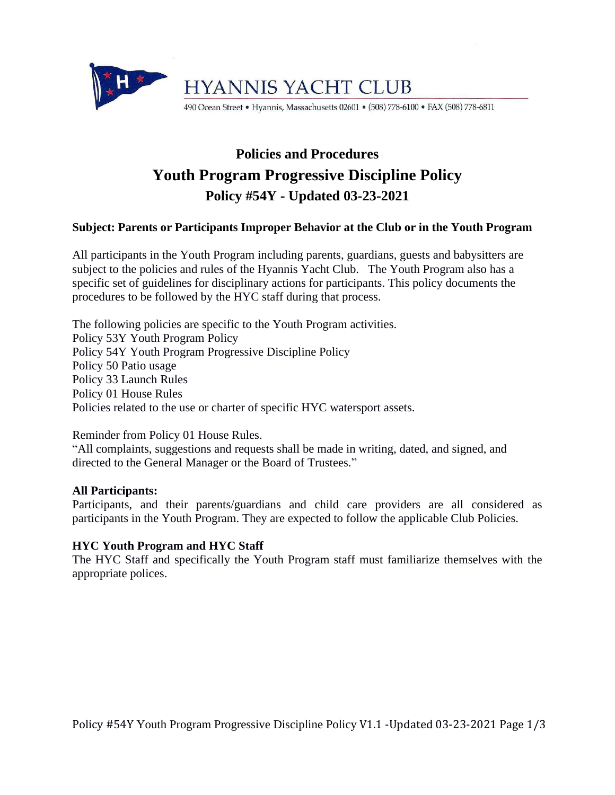

## **Policies and Procedures Youth Program Progressive Discipline Policy Policy #54Y - Updated 03-23-2021**

#### **Subject: Parents or Participants Improper Behavior at the Club or in the Youth Program**

All participants in the Youth Program including parents, guardians, guests and babysitters are subject to the policies and rules of the Hyannis Yacht Club. The Youth Program also has a specific set of guidelines for disciplinary actions for participants. This policy documents the procedures to be followed by the HYC staff during that process.

The following policies are specific to the Youth Program activities. Policy 53Y Youth Program Policy Policy 54Y Youth Program Progressive Discipline Policy Policy 50 Patio usage Policy 33 Launch Rules Policy 01 House Rules Policies related to the use or charter of specific HYC watersport assets.

Reminder from Policy 01 House Rules.

"All complaints, suggestions and requests shall be made in writing, dated, and signed, and directed to the General Manager or the Board of Trustees."

#### **All Participants:**

Participants, and their parents/guardians and child care providers are all considered as participants in the Youth Program. They are expected to follow the applicable Club Policies.

#### **HYC Youth Program and HYC Staff**

The HYC Staff and specifically the Youth Program staff must familiarize themselves with the appropriate polices.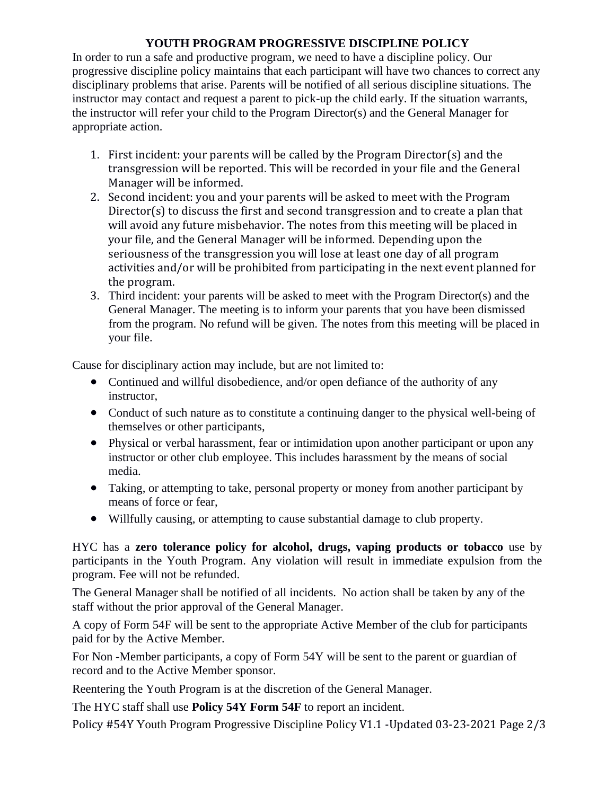### **YOUTH PROGRAM PROGRESSIVE DISCIPLINE POLICY**

In order to run a safe and productive program, we need to have a discipline policy. Our progressive discipline policy maintains that each participant will have two chances to correct any disciplinary problems that arise. Parents will be notified of all serious discipline situations. The instructor may contact and request a parent to pick-up the child early. If the situation warrants, the instructor will refer your child to the Program Director(s) and the General Manager for appropriate action.

- 1. First incident: your parents will be called by the Program Director(s) and the transgression will be reported. This will be recorded in your file and the General Manager will be informed.
- 2. Second incident: you and your parents will be asked to meet with the Program Director(s) to discuss the first and second transgression and to create a plan that will avoid any future misbehavior. The notes from this meeting will be placed in your file, and the General Manager will be informed. Depending upon the seriousness of the transgression you will lose at least one day of all program activities and/or will be prohibited from participating in the next event planned for the program.
- 3. Third incident: your parents will be asked to meet with the Program Director(s) and the General Manager. The meeting is to inform your parents that you have been dismissed from the program. No refund will be given. The notes from this meeting will be placed in your file.

Cause for disciplinary action may include, but are not limited to:

- Continued and willful disobedience, and/or open defiance of the authority of any instructor,
- Conduct of such nature as to constitute a continuing danger to the physical well-being of themselves or other participants,
- Physical or verbal harassment, fear or intimidation upon another participant or upon any instructor or other club employee. This includes harassment by the means of social media.
- Taking, or attempting to take, personal property or money from another participant by means of force or fear,
- Willfully causing, or attempting to cause substantial damage to club property.

HYC has a **zero tolerance policy for alcohol, drugs, vaping products or tobacco** use by participants in the Youth Program. Any violation will result in immediate expulsion from the program. Fee will not be refunded.

The General Manager shall be notified of all incidents. No action shall be taken by any of the staff without the prior approval of the General Manager.

A copy of Form 54F will be sent to the appropriate Active Member of the club for participants paid for by the Active Member.

For Non -Member participants, a copy of Form 54Y will be sent to the parent or guardian of record and to the Active Member sponsor.

Reentering the Youth Program is at the discretion of the General Manager.

The HYC staff shall use **Policy 54Y Form 54F** to report an incident.

Policy #54Y Youth Program Progressive Discipline Policy V1.1 -Updated 03-23-2021 Page 2/3